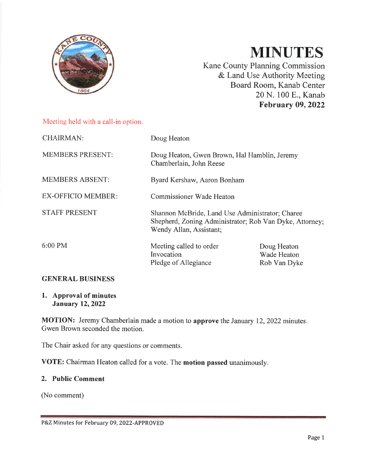

# **MINUTES**

Kane County Planning Commission & Land Use Authority Meeting Board Room, Kanab Center 20 N. 100 E., Kanab **February 09, 2022** 

## Meeting held with a call-in option.

| <b>CHAIRMAN:</b>          | Doug Heaton                                                                                                                           |                                            |  |
|---------------------------|---------------------------------------------------------------------------------------------------------------------------------------|--------------------------------------------|--|
| <b>MEMBERS PRESENT:</b>   | Doug Heaton, Gwen Brown, Hal Hamblin, Jeremy<br>Chamberlain, John Reese                                                               |                                            |  |
| <b>MEMBERS ABSENT:</b>    | Byard Kershaw, Aaron Bonham                                                                                                           |                                            |  |
| <b>EX-OFFICIO MEMBER:</b> | <b>Commissioner Wade Heaton</b>                                                                                                       |                                            |  |
| <b>STAFF PRESENT</b>      | Shannon McBride, Land Use Administrator; Charee<br>Shepherd, Zoning Administrator; Rob Van Dyke, Attorney;<br>Wendy Allan, Assistant; |                                            |  |
| $6:00 \text{ PM}$         | Meeting called to order<br>Invocation<br>Pledge of Allegiance                                                                         | Doug Heaton<br>Wade Heaton<br>Rob Van Dyke |  |

## **GENERAL BUSINESS**

#### 1. Approval of minutes **January 12, 2022**

MOTION: Jeremy Chamberlain made a motion to approve the January 12, 2022 minutes. Gwen Brown seconded the motion.

The Chair asked for any questions or comments.

VOTE: Chairman Heaton called for a vote. The motion passed unanimously.

#### 2. Public Comment

(No comment)

P&Z Minutes for February 09, 2022-APPROVED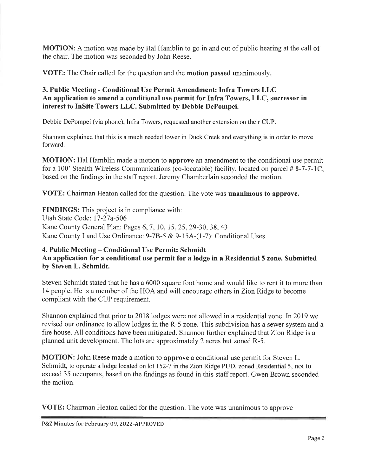**MOTION:** A motion was made by Hal Hamblin to go in and out of public hearing at the call of the chair. The motion was seconded by John Reese.

**VOTE:** The Chair called for the question and the **motion passed** unanimously.

# 3. Public Meeting - Conditional Use Permit Amendment: Infra Towers LLC An application to amend a conditional use permit for Infra Towers, LLC, successor in interest to InSite Towers LLC. Submitted by Debbie DePompei.

Debbie DePompei (via phone), Infra Towers, requested another extension on their CUP.

Shannon explained that this is a much needed tower in Duck Creek and everything is in order to move forward.

**MOTION:** Hal Hamblin made a motion to **approve** an amendment to the conditional use permit for a 100' Stealth Wireless Communications (co-locatable) facility, located on parcel #8-7-7-1C, based on the findings in the staff report. Jeremy Chamberlain seconded the motion.

**VOTE:** Chairman Heaton called for the question. The vote was **unanimous to approve.** 

**FINDINGS:** This project is in compliance with: Utah State Code: 17-27a-506 Kane County General Plan: Pages 6, 7, 10, 15, 25, 29-30, 38, 43 Kane County Land Use Ordinance: 9-7B-5 & 9-15A-(1-7): Conditional Uses

# 4. Public Meeting – Conditional Use Permit: Schmidt An application for a conditional use permit for a lodge in a Residential 5 zone. Submitted by Steven L. Schmidt.

Steven Schmidt stated that he has a 6000 square foot home and would like to rent it to more than 14 people. He is a member of the HOA and will encourage others in Zion Ridge to become compliant with the CUP requirement.

Shannon explained that prior to 2018 lodges were not allowed in a residential zone. In 2019 we revised our ordinance to allow lodges in the R-5 zone. This subdivision has a sewer system and a fire house. All conditions have been mitigated. Shannon further explained that Zion Ridge is a planned unit development. The lots are approximately 2 acres but zoned R-5.

**MOTION:** John Reese made a motion to **approve** a conditional use permit for Steven L. Schmidt, to operate a lodge located on lot 152-7 in the Zion Ridge PUD, zoned Residential 5, not to exceed 35 occupants, based on the findings as found in this staff report. Gwen Brown seconded the motion.

**VOTE:** Chairman Heaton called for the question. The vote was unanimous to approve

P&Z Minutes for February 09, 2022-APPROVED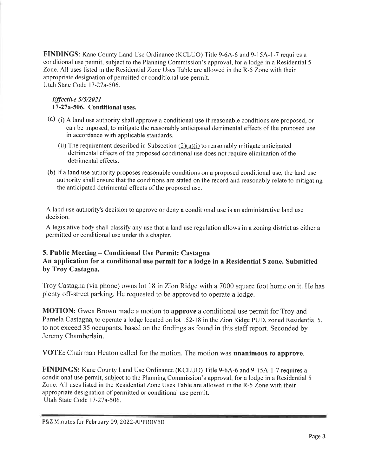**FINDINGS:** Kane County Land Use Ordinance (KCLUO) Title 9-6A-6 and 9-15A-1-7 requires a conditional use permit, subject to the Planning Commission's approval, for a lodge in a Residential 5 Zone. All uses listed in the Residential Zone Uses Table are allowed in the R-5 Zone with their appropriate designation of permitted or conditional use permit. Utah State Code 17-27a-506.

#### Effective 5/5/2021 17-27a-506. Conditional uses.

- (a) (i) A land use authority shall approve a conditional use if reasonable conditions are proposed, or can be imposed, to mitigate the reasonably anticipated detrimental effects of the proposed use in accordance with applicable standards.
	- (ii) The requirement described in Subsection  $(2)(a)(i)$  to reasonably mitigate anticipated detrimental effects of the proposed conditional use does not require elimination of the detrimental effects.
- (b) If a land use authority proposes reasonable conditions on a proposed conditional use, the land use authority shall ensure that the conditions are stated on the record and reasonably relate to mitigating the anticipated detrimental effects of the proposed use.

A land use authority's decision to approve or deny a conditional use is an administrative land use decision.

A legislative body shall classify any use that a land use regulation allows in a zoning district as either a permitted or conditional use under this chapter.

#### 5. Public Meeting – Conditional Use Permit: Castagna An application for a conditional use permit for a lodge in a Residential 5 zone. Submitted by Troy Castagna.

Troy Castagna (via phone) owns lot 18 in Zion Ridge with a 7000 square foot home on it. He has plenty off-street parking. He requested to be approved to operate a lodge.

MOTION: Gwen Brown made a motion to approve a conditional use permit for Troy and Pamela Castagna, to operate a lodge located on lot 152-18 in the Zion Ridge PUD, zoned Residential 5, to not exceed 35 occupants, based on the findings as found in this staff report. Seconded by Jeremy Chamberlain.

VOTE: Chairman Heaton called for the motion. The motion was unanimous to approve.

FINDINGS: Kane County Land Use Ordinance (KCLUO) Title 9-6A-6 and 9-15A-1-7 requires a conditional use permit, subject to the Planning Commission's approval, for a lodge in a Residential 5 Zone. All uses listed in the Residential Zone Uses Table are allowed in the R-5 Zone with their appropriate designation of permitted or conditional use permit. Utah State Code 17-27a-506.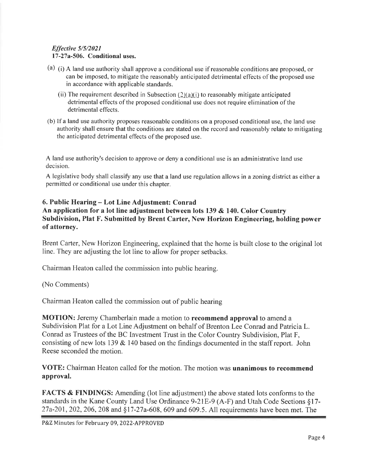#### Effective 5/5/2021 17-27a-506. Conditional uses.

- (a) (i) A land use authority shall approve a conditional use if reasonable conditions are proposed, or can be imposed, to mitigate the reasonably anticipated detrimental effects of the proposed use in accordance with applicable standards.
	- (ii) The requirement described in Subsection  $(2)(a)(i)$  to reasonably mitigate anticipated detrimental effects of the proposed conditional use does not require elimination of the detrimental effects.
- (b) If a land use authority proposes reasonable conditions on a proposed conditional use, the land use authority shall ensure that the conditions are stated on the record and reasonably relate to mitigating the anticipated detrimental effects of the proposed use.

A land use authority's decision to approve or deny a conditional use is an administrative land use decision.

A legislative body shall classify any use that a land use regulation allows in a zoning district as either a permitted or conditional use under this chapter.

#### 6. Public Hearing – Lot Line Adjustment: Conrad An application for a lot line adjustment between lots 139 & 140. Color Country Subdivision, Plat F. Submitted by Brent Carter, New Horizon Engineering, holding power of attorney.

Brent Carter, New Horizon Engineering, explained that the home is built close to the original lot line. They are adjusting the lot line to allow for proper setbacks.

Chairman Heaton called the commission into public hearing.

(No Comments)

Chairman Heaton called the commission out of public hearing

MOTION: Jeremy Chamberlain made a motion to recommend approval to amend a Subdivision Plat for a Lot Line Adjustment on behalf of Brenton Lee Conrad and Patricia L. Conrad as Trustees of the BC Investment Trust in the Color Country Subdivision, Plat F, consisting of new lots 139  $\&$  140 based on the findings documented in the staff report. John Reese seconded the motion.

VOTE: Chairman Heaton called for the motion. The motion was unanimous to recommend approval.

**FACTS & FINDINGS:** Amending (lot line adjustment) the above stated lots conforms to the standards in the Kane County Land Use Ordinance 9-21E-9 (A-F) and Utah Code Sections §17-27a-201, 202, 206, 208 and §17-27a-608, 609 and 609.5. All requirements have been met. The

P&Z Minutes for February 09, 2022-APPROVED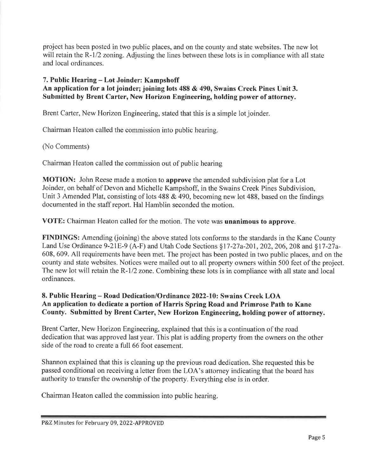project has been posted in two public places, and on the county and state websites. The new lot will retain the R-1/2 zoning. Adjusting the lines between these lots is in compliance with all state and local ordinances.

#### 7. Public Hearing – Lot Joinder: Kampshoff An application for a lot joinder; joining lots 488 & 490, Swains Creek Pines Unit 3. Submitted by Brent Carter, New Horizon Engineering, holding power of attorney.

Brent Carter, New Horizon Engineering, stated that this is a simple lot joinder.

Chairman Heaton called the commission into public hearing.

# (No Comments)

Chairman Heaton called the commission out of public hearing

**MOTION:** John Reese made a motion to **approve** the amended subdivision plat for a Lot Joinder, on behalf of Devon and Michelle Kampshoff, in the Swains Creek Pines Subdivision, Unit 3 Amended Plat, consisting of lots 488 & 490, becoming new lot 488, based on the findings documented in the staff report. Hal Hamblin seconded the motion.

VOTE: Chairman Heaton called for the motion. The vote was unanimous to approve.

**FINDINGS:** Amending (joining) the above stated lots conforms to the standards in the Kane County Land Use Ordinance 9-21E-9 (A-F) and Utah Code Sections §17-27a-201, 202, 206, 208 and §17-27a-608, 609. All requirements have been met. The project has been posted in two public places, and on the county and state websites. Notices were mailed out to all property owners within 500 feet of the project. The new lot will retain the R-1/2 zone. Combining these lots is in compliance with all state and local ordinances.

# 8. Public Hearing – Road Dedication/Ordinance 2022-10: Swains Creek LOA An application to dedicate a portion of Harris Spring Road and Primrose Path to Kane County. Submitted by Brent Carter, New Horizon Engineering, holding power of attorney.

Brent Carter, New Horizon Engineering, explained that this is a continuation of the road dedication that was approved last year. This plat is adding property from the owners on the other side of the road to create a full 66 foot easement.

Shannon explained that this is cleaning up the previous road dedication. She requested this be passed conditional on receiving a letter from the LOA's attorney indicating that the board has authority to transfer the ownership of the property. Everything else is in order.

Chairman Heaton called the commission into public hearing.

P&Z Minutes for February 09, 2022-APPROVED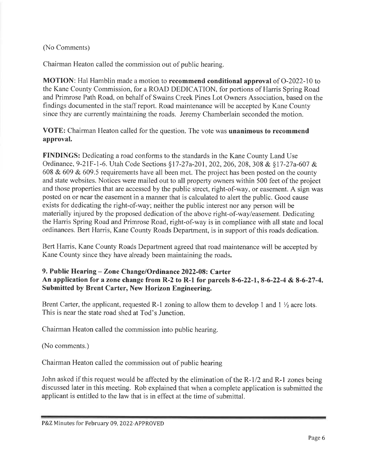(No Comments)

Chairman Heaton called the commission out of public hearing.

**MOTION:** Hal Hamblin made a motion to **recommend conditional approval** of O-2022-10 to the Kane County Commission, for a ROAD DEDICATION, for portions of Harris Spring Road and Primrose Path Road, on behalf of Swains Creek Pines Lot Owners Association, based on the findings documented in the staff report. Road maintenance will be accepted by Kane County since they are currently maintaining the roads. Jeremy Chamberlain seconded the motion.

VOTE: Chairman Heaton called for the question. The vote was unanimous to recommend approval.

FINDINGS: Dedicating a road conforms to the standards in the Kane County Land Use Ordinance, 9-21F-1-6. Utah Code Sections §17-27a-201, 202, 206, 208, 308 & §17-27a-607 & 608 & 609 & 609.5 requirements have all been met. The project has been posted on the county and state websites. Notices were mailed out to all property owners within 500 feet of the project and those properties that are accessed by the public street, right-of-way, or easement. A sign was posted on or near the easement in a manner that is calculated to alert the public. Good cause exists for dedicating the right-of-way; neither the public interest nor any person will be materially injured by the proposed dedication of the above right-of-way/easement. Dedicating the Harris Spring Road and Primrose Road, right-of-way is in compliance with all state and local ordinances. Bert Harris, Kane County Roads Department, is in support of this roads dedication.

Bert Harris, Kane County Roads Department agreed that road maintenance will be accepted by Kane County since they have already been maintaining the roads.

# 9. Public Hearing – Zone Change/Ordinance 2022-08: Carter An application for a zone change from R-2 to R-1 for parcels 8-6-22-1, 8-6-22-4 & 8-6-27-4. Submitted by Brent Carter, New Horizon Engineering.

Brent Carter, the applicant, requested R-1 zoning to allow them to develop 1 and  $1 \frac{1}{2}$  acre lots. This is near the state road shed at Tod's Junction.

Chairman Heaton called the commission into public hearing.

(No comments.)

Chairman Heaton called the commission out of public hearing

John asked if this request would be affected by the elimination of the R-1/2 and R-1 zones being discussed later in this meeting. Rob explained that when a complete application is submitted the applicant is entitled to the law that is in effect at the time of submittal.

P&Z Minutes for February 09, 2022-APPROVED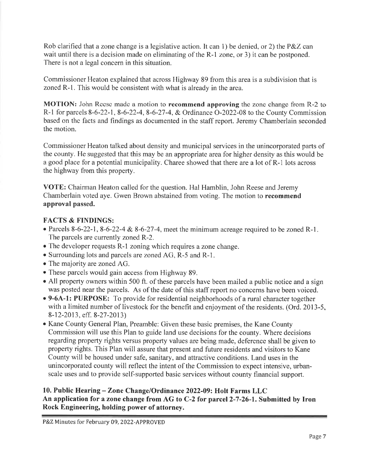Rob clarified that a zone change is a legislative action. It can 1) be denied, or 2) the P&Z can wait until there is a decision made on eliminating of the R-1 zone, or 3) it can be postponed. There is not a legal concern in this situation.

Commissioner Heaton explained that across Highway 89 from this area is a subdivision that is zoned R-1. This would be consistent with what is already in the area.

MOTION: John Reese made a motion to recommend approving the zone change from R-2 to R-1 for parcels 8-6-22-1, 8-6-22-4, 8-6-27-4, & Ordinance O-2022-08 to the County Commission based on the facts and findings as documented in the staff report. Jeremy Chamberlain seconded the motion.

Commissioner Heaton talked about density and municipal services in the unincorporated parts of the county. He suggested that this may be an appropriate area for higher density as this would be a good place for a potential municipality. Charee showed that there are a lot of R-1 lots across the highway from this property.

VOTE: Chairman Heaton called for the question. Hal Hamblin, John Reese and Jeremy Chamberlain voted aye. Gwen Brown abstained from voting. The motion to recommend approval passed.

## **FACTS & FINDINGS:**

- Parcels 8-6-22-1, 8-6-22-4 & 8-6-27-4, meet the minimum acreage required to be zoned R-1. The parcels are currently zoned R-2.
- The developer requests R-1 zoning which requires a zone change.
- Surrounding lots and parcels are zoned AG, R-5 and R-1.
- The majority are zoned AG.
- These parcels would gain access from Highway 89.
- All property owners within 500 ft. of these parcels have been mailed a public notice and a sign was posted near the parcels. As of the date of this staff report no concerns have been voiced.
- 9-6A-1: PURPOSE: To provide for residential neighborhoods of a rural character together with a limited number of livestock for the benefit and enjoyment of the residents. (Ord. 2013-5, 8-12-2013, eff. 8-27-2013)
- Kane County General Plan, Preamble: Given these basic premises, the Kane County Commission will use this Plan to guide land use decisions for the county. Where decisions regarding property rights versus property values are being made, deference shall be given to property rights. This Plan will assure that present and future residents and visitors to Kane County will be housed under safe, sanitary, and attractive conditions. Land uses in the unincorporated county will reflect the intent of the Commission to expect intensive, urbanscale uses and to provide self-supported basic services without county financial support.

## 10. Public Hearing - Zone Change/Ordinance 2022-09: Holt Farms LLC An application for a zone change from AG to C-2 for parcel 2-7-26-1. Submitted by Iron Rock Engineering, holding power of attorney.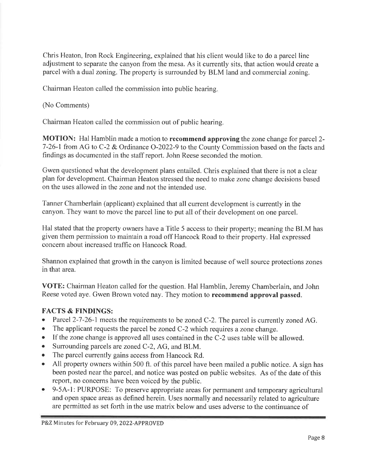Chris Heaton, Iron Rock Engineering, explained that his client would like to do a parcel line adjustment to separate the canyon from the mesa. As it currently sits, that action would create a parcel with a dual zoning. The property is surrounded by BLM land and commercial zoning.

Chairman Heaton called the commission into public hearing.

(No Comments)

Chairman Heaton called the commission out of public hearing.

**MOTION:** Hal Hamblin made a motion to **recommend approving** the zone change for parcel 2-7-26-1 from AG to C-2 & Ordinance O-2022-9 to the County Commission based on the facts and findings as documented in the staff report. John Reese seconded the motion.

Gwen questioned what the development plans entailed. Chris explained that there is not a clear plan for development. Chairman Heaton stressed the need to make zone change decisions based on the uses allowed in the zone and not the intended use.

Tanner Chamberlain (applicant) explained that all current development is currently in the canyon. They want to move the parcel line to put all of their development on one parcel.

Hal stated that the property owners have a Title 5 access to their property; meaning the BLM has given them permission to maintain a road off Hancock Road to their property. Hal expressed concern about increased traffic on Hancock Road.

Shannon explained that growth in the canyon is limited because of well source protections zones in that area.

**VOTE:** Chairman Heaton called for the question. Hal Hamblin, Jeremy Chamberlain, and John Reese voted aye. Gwen Brown voted nay. They motion to recommend approval passed.

# **FACTS & FINDINGS:**

- $\bullet$ Parcel 2-7-26-1 meets the requirements to be zoned C-2. The parcel is currently zoned AG.
- The applicant requests the parcel be zoned C-2 which requires a zone change.  $\bullet$
- If the zone change is approved all uses contained in the C-2 uses table will be allowed.  $\bullet$
- $\bullet$ Surrounding parcels are zoned C-2, AG, and BLM.
- The parcel currently gains access from Hancock Rd.
- All property owners within 500 ft. of this parcel have been mailed a public notice. A sign has  $\bullet$ been posted near the parcel, and notice was posted on public websites. As of the date of this report, no concerns have been voiced by the public.
- 9-5A-1: PURPOSE: To preserve appropriate areas for permanent and temporary agricultural  $\bullet$ and open space areas as defined herein. Uses normally and necessarily related to agriculture are permitted as set forth in the use matrix below and uses adverse to the continuance of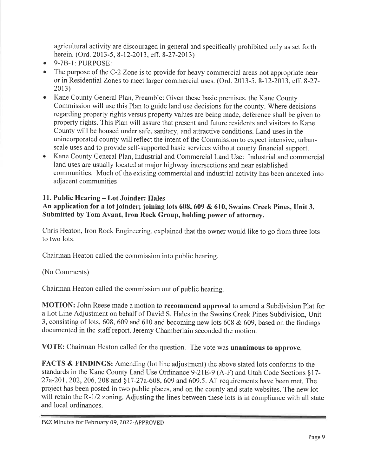agricultural activity are discouraged in general and specifically prohibited only as set forth herein. (Ord. 2013-5, 8-12-2013, eff. 8-27-2013)

- 9-7B-1: PURPOSE:  $\bullet$
- The purpose of the C-2 Zone is to provide for heavy commercial areas not appropriate near or in Residential Zones to meet larger commercial uses. (Ord. 2013-5, 8-12-2013, eff. 8-27- $2013$
- Kane County General Plan, Preamble: Given these basic premises, the Kane County Commission will use this Plan to guide land use decisions for the county. Where decisions regarding property rights versus property values are being made, deference shall be given to property rights. This Plan will assure that present and future residents and visitors to Kane County will be housed under safe, sanitary, and attractive conditions. Land uses in the unincorporated county will reflect the intent of the Commission to expect intensive, urbanscale uses and to provide self-supported basic services without county financial support.
- Kane County General Plan, Industrial and Commercial Land Use: Industrial and commercial  $\bullet$ land uses are usually located at major highway intersections and near established communities. Much of the existing commercial and industrial activity has been annexed into adjacent communities

# 11. Public Hearing – Lot Joinder: Hales

# An application for a lot joinder; joining lots 608, 609 & 610, Swains Creek Pines, Unit 3. Submitted by Tom Avant, Iron Rock Group, holding power of attorney.

Chris Heaton, Iron Rock Engineering, explained that the owner would like to go from three lots to two lots.

Chairman Heaton called the commission into public hearing.

(No Comments)

Chairman Heaton called the commission out of public hearing.

MOTION: John Reese made a motion to recommend approval to amend a Subdivision Plat for a Lot Line Adjustment on behalf of David S. Hales in the Swains Creek Pines Subdivision, Unit 3, consisting of lots, 608, 609 and 610 and becoming new lots 608  $&$  609, based on the findings documented in the staff report. Jeremy Chamberlain seconded the motion.

VOTE: Chairman Heaton called for the question. The vote was unanimous to approve.

FACTS & FINDINGS: Amending (lot line adjustment) the above stated lots conforms to the standards in the Kane County Land Use Ordinance 9-21E-9 (A-F) and Utah Code Sections §17-27a-201, 202, 206, 208 and §17-27a-608, 609 and 609.5. All requirements have been met. The project has been posted in two public places, and on the county and state websites. The new lot will retain the R-1/2 zoning. Adjusting the lines between these lots is in compliance with all state and local ordinances.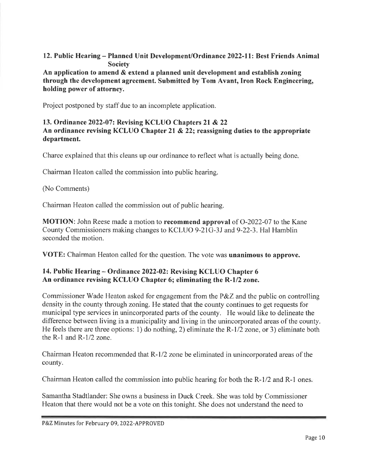## 12. Public Hearing – Planned Unit Development/Ordinance 2022-11: Best Friends Animal **Society**

An application to amend & extend a planned unit development and establish zoning through the development agreement. Submitted by Tom Avant, Iron Rock Engineering, holding power of attorney.

Project postponed by staff due to an incomplete application.

### 13. Ordinance 2022-07: Revising KCLUO Chapters 21 & 22 An ordinance revising KCLUO Chapter 21  $\&$  22; reassigning duties to the appropriate department.

Charee explained that this cleans up our ordinance to reflect what is actually being done.

Chairman Heaton called the commission into public hearing.

#### (No Comments)

Chairman Heaton called the commission out of public hearing.

**MOTION:** John Reese made a motion to **recommend approval** of O-2022-07 to the Kane County Commissioners making changes to KCLUO 9-21G-3J and 9-22-3. Hal Hamblin seconded the motion.

**VOTE:** Chairman Heaton called for the question. The vote was **unanimous to approve.** 

## 14. Public Hearing – Ordinance 2022-02: Revising KCLUO Chapter 6 An ordinance revising KCLUO Chapter 6; eliminating the R-1/2 zone.

Commissioner Wade Heaton asked for engagement from the  $P\&Z$  and the public on controlling density in the county through zoning. He stated that the county continues to get requests for municipal type services in unincorporated parts of the county. He would like to delineate the difference between living in a municipality and living in the unincorporated areas of the county. He feels there are three options: 1) do nothing, 2) eliminate the  $R-1/2$  zone, or 3) eliminate both the R-1 and R- $1/2$  zone.

Chairman Heaton recommended that R-1/2 zone be eliminated in unincorporated areas of the county.

Chairman Heaton called the commission into public hearing for both the R-1/2 and R-1 ones.

Samantha Stadtlander: She owns a business in Duck Creek. She was told by Commissioner Heaton that there would not be a vote on this tonight. She does not understand the need to

P&Z Minutes for February 09, 2022-APPROVED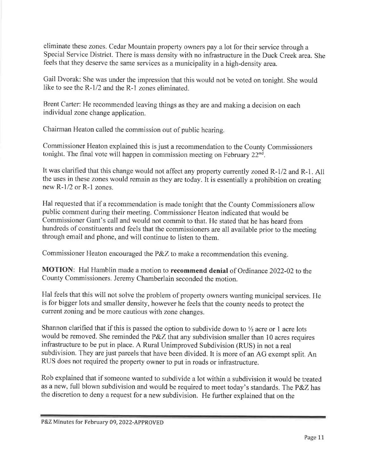eliminate these zones. Cedar Mountain property owners pay a lot for their service through a Special Service District. There is mass density with no infrastructure in the Duck Creek area. She feels that they deserve the same services as a municipality in a high-density area.

Gail Dvorak: She was under the impression that this would not be voted on tonight. She would like to see the R-1/2 and the R-1 zones eliminated.

Brent Carter: He recommended leaving things as they are and making a decision on each individual zone change application.

Chairman Heaton called the commission out of public hearing.

Commissioner Heaton explained this is just a recommendation to the County Commissioners tonight. The final vote will happen in commission meeting on February 22<sup>nd</sup>.

It was clarified that this change would not affect any property currently zoned R-1/2 and R-1. All the uses in these zones would remain as they are today. It is essentially a prohibition on creating new  $R-1/2$  or  $R-1$  zones.

Hal requested that if a recommendation is made tonight that the County Commissioners allow public comment during their meeting. Commissioner Heaton indicated that would be Commissioner Gant's call and would not commit to that. He stated that he has heard from hundreds of constituents and feels that the commissioners are all available prior to the meeting through email and phone, and will continue to listen to them.

Commissioner Heaton encouraged the P&Z to make a recommendation this evening.

MOTION: Hal Hamblin made a motion to recommend denial of Ordinance 2022-02 to the County Commissioners. Jeremy Chamberlain seconded the motion.

Hal feels that this will not solve the problem of property owners wanting municipal services. He is for bigger lots and smaller density, however he feels that the county needs to protect the current zoning and be more cautious with zone changes.

Shannon clarified that if this is passed the option to subdivide down to  $\frac{1}{2}$  acre or 1 acre lots would be removed. She reminded the P&Z that any subdivision smaller than 10 acres requires infrastructure to be put in place. A Rural Unimproved Subdivision (RUS) in not a real subdivision. They are just parcels that have been divided. It is more of an AG exempt split. An RUS does not required the property owner to put in roads or infrastructure.

Rob explained that if someone wanted to subdivide a lot within a subdivision it would be treated as a new, full blown subdivision and would be required to meet today's standards. The P&Z has the discretion to deny a request for a new subdivision. He further explained that on the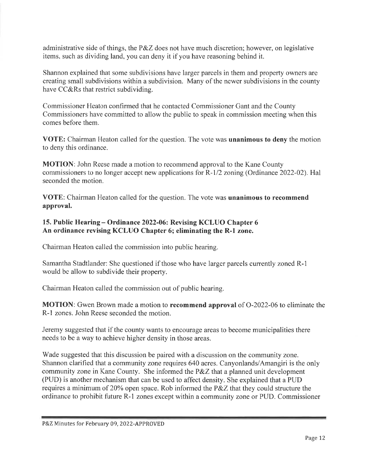administrative side of things, the P&Z does not have much discretion; however, on legislative items, such as dividing land, you can deny it if you have reasoning behind it.

Shannon explained that some subdivisions have larger parcels in them and property owners are creating small subdivisions within a subdivision. Many of the newer subdivisions in the county have CC&Rs that restrict subdividing.

Commissioner Heaton confirmed that he contacted Commissioner Gant and the County Commissioners have committed to allow the public to speak in commission meeting when this comes before them.

VOTE: Chairman Heaton called for the question. The vote was unanimous to deny the motion to deny this ordinance.

**MOTION:** John Reese made a motion to recommend approval to the Kane County commissioners to no longer accept new applications for R-1/2 zoning (Ordinance 2022-02). Hal seconded the motion.

VOTE: Chairman Heaton called for the question. The vote was unanimous to recommend approval.

## 15. Public Hearing - Ordinance 2022-06: Revising KCLUO Chapter 6 An ordinance revising KCLUO Chapter 6; eliminating the R-1 zone.

Chairman Heaton called the commission into public hearing.

Samantha Stadtlander: She questioned if those who have larger parcels currently zoned R-1 would be allow to subdivide their property.

Chairman Heaton called the commission out of public hearing.

**MOTION:** Gwen Brown made a motion to **recommend approval** of O-2022-06 to eliminate the R-1 zones. John Reese seconded the motion.

Jeremy suggested that if the county wants to encourage areas to become municipalities there needs to be a way to achieve higher density in those areas.

Wade suggested that this discussion be paired with a discussion on the community zone. Shannon clarified that a community zone requires 640 acres. Canyonlands/Amangiri is the only community zone in Kane County. She informed the P&Z that a planned unit development (PUD) is another mechanism that can be used to affect density. She explained that a PUD requires a minimum of 20% open space. Rob informed the P&Z that they could structure the ordinance to prohibit future R-1 zones except within a community zone or PUD. Commissioner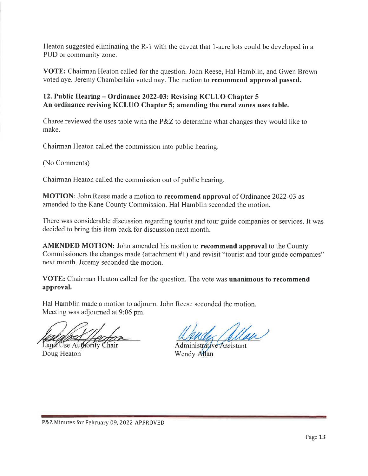Heaton suggested eliminating the R-1 with the caveat that 1-acre lots could be developed in a PUD or community zone.

VOTE: Chairman Heaton called for the question. John Reese, Hal Hamblin, and Gwen Brown voted aye. Jeremy Chamberlain voted nay. The motion to recommend approval passed.

# 12. Public Hearing – Ordinance 2022-03: Revising KCLUO Chapter 5 An ordinance revising KCLUO Chapter 5; amending the rural zones uses table.

Charee reviewed the uses table with the  $P\&Z$  to determine what changes they would like to make.

Chairman Heaton called the commission into public hearing.

(No Comments)

Chairman Heaton called the commission out of public hearing.

**MOTION**: John Reese made a motion to **recommend approval** of Ordinance 2022-03 as amended to the Kane County Commission. Hal Hamblin seconded the motion.

There was considerable discussion regarding tourist and tour guide companies or services. It was decided to bring this item back for discussion next month.

AMENDED MOTION: John amended his motion to recommend approval to the County Commissioners the changes made (attachment #1) and revisit "tourist and tour guide companies" next month. Jeremy seconded the motion.

**VOTE:** Chairman Heaton called for the question. The vote was **unanimous to recommend** approval.

Hal Hamblin made a motion to adjourn. John Reese seconded the motion. Meeting was adjourned at 9:06 pm.

Land Use Authority Chair Doug Heaton

Administrative Assistant Wendy Allan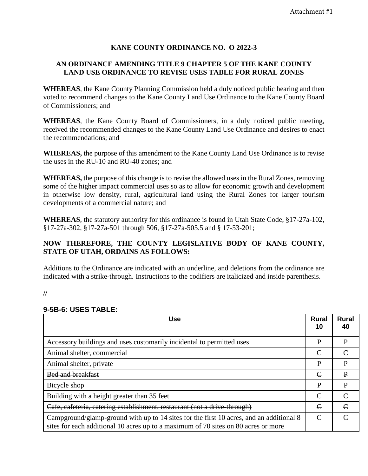## **KANE COUNTY ORDINANCE NO. O 2022-3**

## **AN ORDINANCE AMENDING TITLE 9 CHAPTER 5 OF THE KANE COUNTY LAND USE ORDINANCE TO REVISE USES TABLE FOR RURAL ZONES**

**WHEREAS**, the Kane County Planning Commission held a duly noticed public hearing and then voted to recommend changes to the Kane County Land Use Ordinance to the Kane County Board of Commissioners; and

**WHEREAS**, the Kane County Board of Commissioners, in a duly noticed public meeting, received the recommended changes to the Kane County Land Use Ordinance and desires to enact the recommendations; and

**WHEREAS,** the purpose of this amendment to the Kane County Land Use Ordinance is to revise the uses in the RU-10 and RU-40 zones; and

**WHEREAS,** the purpose of this change is to revise the allowed uses in the Rural Zones, removing some of the higher impact commercial uses so as to allow for economic growth and development in otherwise low density, rural, agricultural land using the Rural Zones for larger tourism developments of a commercial nature; and

**WHEREAS**, the statutory authority for this ordinance is found in Utah State Code, §17-27a-102, §17-27a-302, §17-27a-501 through 506, §17-27a-505.5 and § 17-53-201;

# **NOW THEREFORE, THE COUNTY LEGISLATIVE BODY OF KANE COUNTY, STATE OF UTAH, ORDAINS AS FOLLOWS:**

Additions to the Ordinance are indicated with an underline, and deletions from the ordinance are indicated with a strike-through. Instructions to the codifiers are italicized and inside parenthesis.

**//**

## **9-5B-6: USES TABLE:**

| <b>Use</b>                                                                                                                                                                    | <b>Rural</b><br>10 | <b>Rural</b><br>40 |
|-------------------------------------------------------------------------------------------------------------------------------------------------------------------------------|--------------------|--------------------|
| Accessory buildings and uses customarily incidental to permitted uses                                                                                                         | P                  | P                  |
| Animal shelter, commercial                                                                                                                                                    | $\mathcal{C}$      | $\subset$          |
| Animal shelter, private                                                                                                                                                       | P                  | P                  |
| <b>Bed and breakfast</b>                                                                                                                                                      | E                  | $\mathbf{P}$       |
| Bieyele shop                                                                                                                                                                  | $\mathbf{P}$       | $\mathbf{P}$       |
| Building with a height greater than 35 feet                                                                                                                                   |                    | $\Gamma$           |
| Cafe, cafeteria, catering establishment, restaurant (not a drive-through)                                                                                                     |                    | $\epsilon$         |
| Campground/glamp-ground with up to 14 sites for the first 10 acres, and an additional 8<br>sites for each additional 10 acres up to a maximum of 70 sites on 80 acres or more | $\mathcal{C}$      |                    |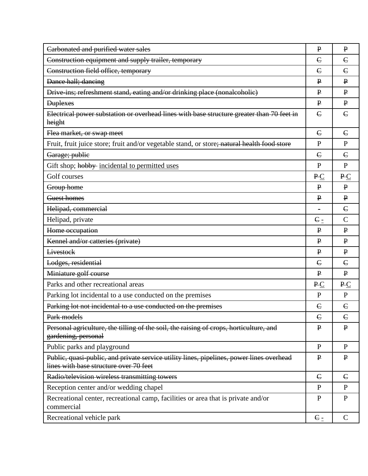| Carbonated and purified water sales                                                                                                | $\mathbf{P}$   | $\mathbf{P}$  |
|------------------------------------------------------------------------------------------------------------------------------------|----------------|---------------|
| Construction equipment and supply trailer, temporary                                                                               | $\epsilon$     | $\epsilon$    |
| Construction field office, temporary                                                                                               |                | $\epsilon$    |
| Dance hall; dancing                                                                                                                |                | $\mathbf{P}$  |
| Drive ins; refreshment stand, eating and/or drinking place (nonalcoholic)                                                          | $\mathbf{P}$   | $\mathbf{P}$  |
| <b>Duplexes</b>                                                                                                                    |                | $\mathbf{P}$  |
| Electrical power substation or overhead lines with base structure greater than 70 feet in<br>height                                | $\epsilon$     | $\epsilon$    |
| Flea market, or swap meet                                                                                                          | $\epsilon$     | $\epsilon$    |
| Fruit, fruit juice store; fruit and/or vegetable stand, or store; natural health food store                                        | $\mathbf{P}$   | $\mathbf{P}$  |
| Garage; publie                                                                                                                     | $\epsilon$     | $\epsilon$    |
| Gift shop; hobby incidental to permitted uses                                                                                      | $\mathbf{P}$   | $\mathbf{P}$  |
| Golf courses                                                                                                                       | PC             | PC            |
| Group home                                                                                                                         | $\mathbf{P}$   | $\mathbf{P}$  |
| Guest homes                                                                                                                        | $\mathbf{P}$   | $\mathbf{P}$  |
| Helipad, commercial                                                                                                                |                | $\epsilon$    |
| Helipad, private                                                                                                                   | $E_$           | $\mathcal{C}$ |
| Home occupation                                                                                                                    | $\mathbf{P}$   | $\mathbf{P}$  |
| Kennel and/or catteries (private)                                                                                                  | $\mathbf{P}$   | $\mathbf{P}$  |
| Livestock                                                                                                                          | $\mathbf{P}$   | $\mathbf{P}$  |
| Lodges, residential                                                                                                                | $\epsilon$     | $\epsilon$    |
| Miniature golf course                                                                                                              | $\mathbf{P}$   | $\mathbf{P}$  |
| Parks and other recreational areas                                                                                                 | PC             | PC            |
| Parking lot incidental to a use conducted on the premises                                                                          | $\mathbf{P}$   | $\mathbf{P}$  |
| Parking lot not incidental to a use conducted on the premises                                                                      | $\epsilon$     | $\epsilon$    |
| Park models                                                                                                                        | $\epsilon$     | $\epsilon$    |
| Personal agriculture, the tilling of the soil, the raising of crops, horticulture, and<br>gardening, personal                      | $\mathbf{P}$   | $\mathbf{P}$  |
| Public parks and playground                                                                                                        | $\mathbf{P}$   | $\mathbf{P}$  |
| Public, quasi-public, and private service utility lines, pipelines, power lines overhead<br>lines with base structure over 70 feet |                | $\mathbf{P}$  |
| Radio/television wireless transmitting towers                                                                                      | $\epsilon$     | $\epsilon$    |
| Reception center and/or wedding chapel                                                                                             | $\mathbf{P}$   | $\mathbf{P}$  |
| Recreational center, recreational camp, facilities or area that is private and/or<br>commercial                                    | ${\bf P}$      | $\mathbf{P}$  |
| Recreational vehicle park                                                                                                          | C <sub>2</sub> | $\mathsf{C}$  |